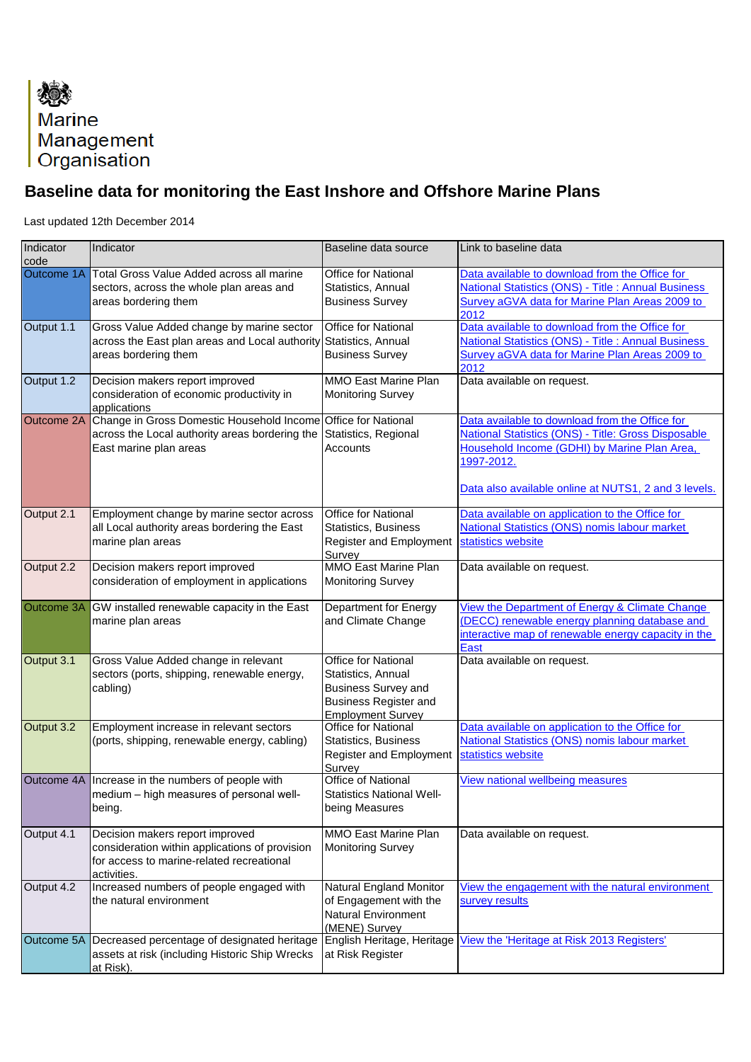

## **Baseline data for monitoring the East Inshore and Offshore Marine Plans**

Last updated 12th December 2014

| Indicator<br>code | Indicator                                                                                                                                                      | Baseline data source                                                                                                                       | Link to baseline data                                                                                                                                                                                                              |
|-------------------|----------------------------------------------------------------------------------------------------------------------------------------------------------------|--------------------------------------------------------------------------------------------------------------------------------------------|------------------------------------------------------------------------------------------------------------------------------------------------------------------------------------------------------------------------------------|
| Outcome 1A        | <b>Total Gross Value Added across all marine</b><br>sectors, across the whole plan areas and<br>areas bordering them                                           | <b>Office for National</b><br>Statistics, Annual<br><b>Business Survey</b>                                                                 | Data available to download from the Office for<br><b>National Statistics (ONS) - Title: Annual Business</b><br>Survey aGVA data for Marine Plan Areas 2009 to<br>2012                                                              |
| Output 1.1        | Gross Value Added change by marine sector<br>across the East plan areas and Local authority Statistics, Annual<br>areas bordering them                         | <b>Office for National</b><br><b>Business Survey</b>                                                                                       | Data available to download from the Office for<br><b>National Statistics (ONS) - Title: Annual Business</b><br>Survey aGVA data for Marine Plan Areas 2009 to<br>2012                                                              |
| Output 1.2        | Decision makers report improved<br>consideration of economic productivity in<br>applications                                                                   | <b>MMO East Marine Plan</b><br><b>Monitoring Survey</b>                                                                                    | Data available on request.                                                                                                                                                                                                         |
| <b>Outcome 2A</b> | Change in Gross Domestic Household Income Office for National<br>across the Local authority areas bordering the Statistics, Regional<br>East marine plan areas | Accounts                                                                                                                                   | Data available to download from the Office for<br><b>National Statistics (ONS) - Title: Gross Disposable</b><br>Household Income (GDHI) by Marine Plan Area,<br>1997-2012.<br>Data also available online at NUTS1, 2 and 3 levels. |
| Output 2.1        | Employment change by marine sector across<br>all Local authority areas bordering the East<br>marine plan areas                                                 | <b>Office for National</b><br><b>Statistics, Business</b><br><b>Register and Employment</b><br>Survey                                      | Data available on application to the Office for<br><b>National Statistics (ONS) nomis labour market</b><br>statistics website                                                                                                      |
| Output 2.2        | Decision makers report improved<br>consideration of employment in applications                                                                                 | <b>MMO East Marine Plan</b><br><b>Monitoring Survey</b>                                                                                    | Data available on request.                                                                                                                                                                                                         |
| <b>Outcome 3A</b> | GW installed renewable capacity in the East<br>marine plan areas                                                                                               | <b>Department for Energy</b><br>and Climate Change                                                                                         | View the Department of Energy & Climate Change<br>(DECC) renewable energy planning database and<br>interactive map of renewable energy capacity in the<br><b>East</b>                                                              |
| Output 3.1        | Gross Value Added change in relevant<br>sectors (ports, shipping, renewable energy,<br>cabling)                                                                | <b>Office for National</b><br>Statistics, Annual<br><b>Business Survey and</b><br><b>Business Register and</b><br><b>Employment Survey</b> | Data available on request.                                                                                                                                                                                                         |
| Output 3.2        | Employment increase in relevant sectors<br>(ports, shipping, renewable energy, cabling)                                                                        | <b>Office for National</b><br><b>Statistics, Business</b><br><b>Register and Employment</b><br>Survey                                      | Data available on application to the Office for<br><b>National Statistics (ONS) nomis labour market</b><br>statistics website                                                                                                      |
| Outcome 4A        | Increase in the numbers of people with<br>medium - high measures of personal well-<br>being.                                                                   | <b>Office of National</b><br><b>Statistics National Well-</b><br>being Measures                                                            | <b>View national wellbeing measures</b>                                                                                                                                                                                            |
| Output 4.1        | Decision makers report improved<br>consideration within applications of provision<br>for access to marine-related recreational<br>activities.                  | <b>MMO East Marine Plan</b><br><b>Monitoring Survey</b>                                                                                    | Data available on request.                                                                                                                                                                                                         |
| Output 4.2        | Increased numbers of people engaged with<br>the natural environment                                                                                            | <b>Natural England Monitor</b><br>of Engagement with the<br><b>Natural Environment</b><br>(MENE) Survey                                    | View the engagement with the natural environment<br>survey results                                                                                                                                                                 |
| Outcome 5A        | Decreased percentage of designated heritage<br>assets at risk (including Historic Ship Wrecks<br>at Risk).                                                     | English Heritage, Heritage<br>at Risk Register                                                                                             | View the 'Heritage at Risk 2013 Registers'                                                                                                                                                                                         |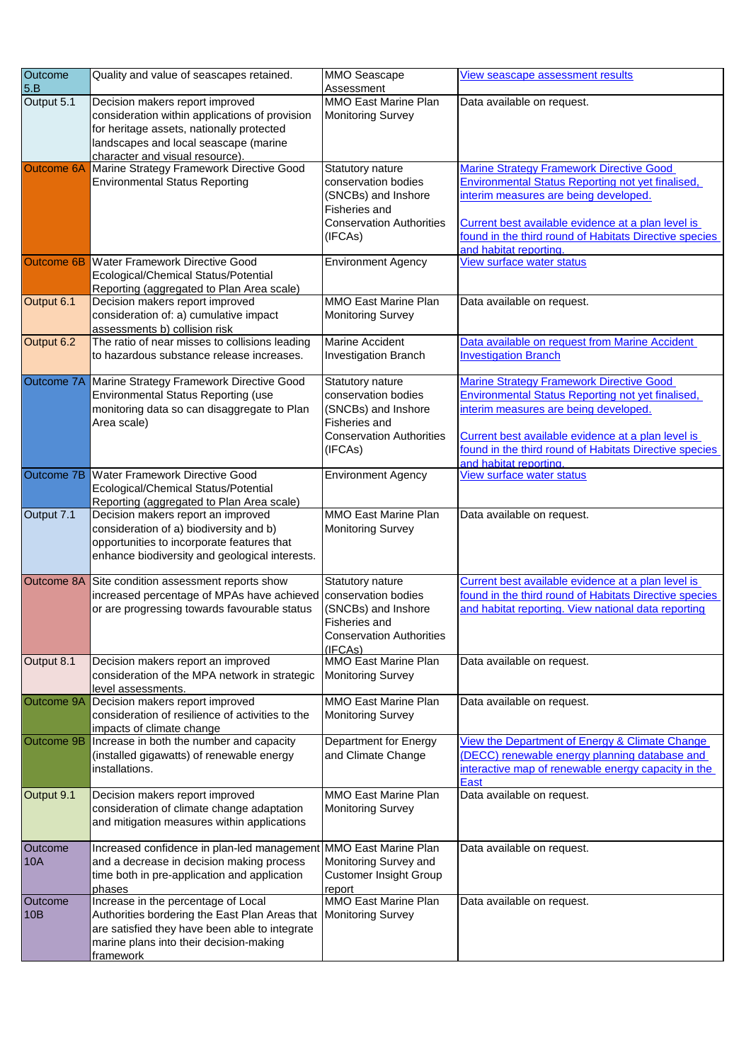| <b>Outcome</b>    | Quality and value of seascapes retained.                                              | <b>MMO Seascape</b>                                     | View seascape assessment results                                                                             |
|-------------------|---------------------------------------------------------------------------------------|---------------------------------------------------------|--------------------------------------------------------------------------------------------------------------|
| 5.B               |                                                                                       | Assessment                                              |                                                                                                              |
| Output 5.1        | Decision makers report improved                                                       | <b>MMO East Marine Plan</b>                             | Data available on request.                                                                                   |
|                   | consideration within applications of provision                                        | <b>Monitoring Survey</b>                                |                                                                                                              |
|                   | for heritage assets, nationally protected<br>landscapes and local seascape (marine    |                                                         |                                                                                                              |
|                   | character and visual resource).                                                       |                                                         |                                                                                                              |
| <b>Outcome 6A</b> | Marine Strategy Framework Directive Good                                              | <b>Statutory nature</b>                                 | <b>Marine Strategy Framework Directive Good</b>                                                              |
|                   | <b>Environmental Status Reporting</b>                                                 | conservation bodies                                     | Environmental Status Reporting not yet finalised,                                                            |
|                   |                                                                                       | (SNCBs) and Inshore                                     | interim measures are being developed.                                                                        |
|                   |                                                                                       | <b>Fisheries and</b>                                    |                                                                                                              |
|                   |                                                                                       | <b>Conservation Authorities</b>                         | Current best available evidence at a plan level is                                                           |
|                   |                                                                                       | (IFCAs)                                                 | found in the third round of Habitats Directive species<br>and habitat reporting.                             |
| <b>Outcome 6B</b> | <b>Water Framework Directive Good</b>                                                 | <b>Environment Agency</b>                               | <b>View surface water status</b>                                                                             |
|                   | <b>Ecological/Chemical Status/Potential</b>                                           |                                                         |                                                                                                              |
|                   | Reporting (aggregated to Plan Area scale)                                             |                                                         |                                                                                                              |
| Output 6.1        | Decision makers report improved                                                       | <b>MMO East Marine Plan</b>                             | Data available on request.                                                                                   |
|                   | consideration of: a) cumulative impact                                                | <b>Monitoring Survey</b>                                |                                                                                                              |
| Output 6.2        | assessments b) collision risk<br>The ratio of near misses to collisions leading       | <b>Marine Accident</b>                                  | Data available on request from Marine Accident                                                               |
|                   | to hazardous substance release increases.                                             | <b>Investigation Branch</b>                             | <b>Investigation Branch</b>                                                                                  |
|                   |                                                                                       |                                                         |                                                                                                              |
| <b>Outcome 7A</b> | Marine Strategy Framework Directive Good                                              | <b>Statutory nature</b>                                 | <b>Marine Strategy Framework Directive Good</b>                                                              |
|                   | <b>Environmental Status Reporting (use</b>                                            | conservation bodies                                     | <b>Environmental Status Reporting not yet finalised,</b>                                                     |
|                   | monitoring data so can disaggregate to Plan                                           | (SNCBs) and Inshore                                     | interim measures are being developed.                                                                        |
|                   | Area scale)                                                                           | <b>Fisheries and</b>                                    |                                                                                                              |
|                   |                                                                                       | <b>Conservation Authorities</b><br>(IFCAs)              | Current best available evidence at a plan level is<br>found in the third round of Habitats Directive species |
|                   |                                                                                       |                                                         | and habitat reporting                                                                                        |
|                   | Outcome 7B   Water Framework Directive Good                                           | <b>Environment Agency</b>                               | View surface water status                                                                                    |
|                   | Ecological/Chemical Status/Potential                                                  |                                                         |                                                                                                              |
|                   | Reporting (aggregated to Plan Area scale)                                             |                                                         |                                                                                                              |
| Output 7.1        | Decision makers report an improved                                                    | <b>MMO East Marine Plan</b>                             | Data available on request.                                                                                   |
|                   | consideration of a) biodiversity and b)<br>opportunities to incorporate features that | <b>Monitoring Survey</b>                                |                                                                                                              |
|                   | enhance biodiversity and geological interests.                                        |                                                         |                                                                                                              |
|                   |                                                                                       |                                                         |                                                                                                              |
|                   | Outcome 8A Site condition assessment reports show                                     | <b>Statutory nature</b>                                 | Current best available evidence at a plan level is                                                           |
|                   | increased percentage of MPAs have achieved conservation bodies                        |                                                         | found in the third round of Habitats Directive species                                                       |
|                   | or are progressing towards favourable status                                          | (SNCBs) and Inshore                                     | and habitat reporting. View national data reporting                                                          |
|                   |                                                                                       | <b>Fisheries and</b><br><b>Conservation Authorities</b> |                                                                                                              |
|                   |                                                                                       | (IFCAs)                                                 |                                                                                                              |
| Output 8.1        | Decision makers report an improved                                                    | <b>MMO East Marine Plan</b>                             | Data available on request.                                                                                   |
|                   | consideration of the MPA network in strategic                                         | <b>Monitoring Survey</b>                                |                                                                                                              |
|                   | level assessments.                                                                    |                                                         |                                                                                                              |
| Outcome 9A        | Decision makers report improved<br>consideration of resilience of activities to the   | <b>MMO East Marine Plan</b><br><b>Monitoring Survey</b> | Data available on request.                                                                                   |
|                   | impacts of climate change                                                             |                                                         |                                                                                                              |
| <b>Outcome 9B</b> | Increase in both the number and capacity                                              | <b>Department for Energy</b>                            | View the Department of Energy & Climate Change                                                               |
|                   | (installed gigawatts) of renewable energy                                             | and Climate Change                                      | (DECC) renewable energy planning database and                                                                |
|                   | installations.                                                                        |                                                         | interactive map of renewable energy capacity in the                                                          |
|                   |                                                                                       | <b>MMO East Marine Plan</b>                             | <b>East</b>                                                                                                  |
| Output 9.1        | Decision makers report improved<br>consideration of climate change adaptation         | <b>Monitoring Survey</b>                                | Data available on request.                                                                                   |
|                   | and mitigation measures within applications                                           |                                                         |                                                                                                              |
|                   |                                                                                       |                                                         |                                                                                                              |
| <b>Outcome</b>    | Increased confidence in plan-led management   MMO East Marine Plan                    |                                                         | Data available on request.                                                                                   |
| 10A               | and a decrease in decision making process                                             | Monitoring Survey and                                   |                                                                                                              |
|                   | time both in pre-application and application                                          | <b>Customer Insight Group</b>                           |                                                                                                              |
| Outcome           | phases<br>Increase in the percentage of Local                                         | report<br><b>MMO East Marine Plan</b>                   | Data available on request.                                                                                   |
| 10B               | Authorities bordering the East Plan Areas that   Monitoring Survey                    |                                                         |                                                                                                              |
|                   | are satisfied they have been able to integrate                                        |                                                         |                                                                                                              |
|                   | marine plans into their decision-making                                               |                                                         |                                                                                                              |
|                   | framework                                                                             |                                                         |                                                                                                              |